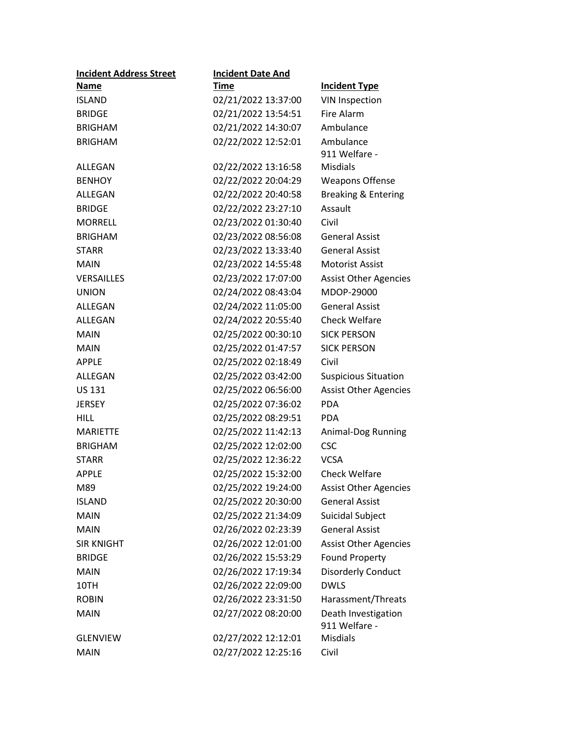| <b>Incident Address Street</b> | <b>Incident Date And</b> |                                |
|--------------------------------|--------------------------|--------------------------------|
| <b>Name</b>                    | <b>Time</b>              | <b>Incident Type</b>           |
| <b>ISLAND</b>                  | 02/21/2022 13:37:00      | <b>VIN Inspection</b>          |
| <b>BRIDGE</b>                  | 02/21/2022 13:54:51      | Fire Alarm                     |
| <b>BRIGHAM</b>                 | 02/21/2022 14:30:07      | Ambulance                      |
| <b>BRIGHAM</b>                 | 02/22/2022 12:52:01      | Ambulance                      |
|                                |                          | 911 Welfare -                  |
| ALLEGAN                        | 02/22/2022 13:16:58      | <b>Misdials</b>                |
| <b>BENHOY</b>                  | 02/22/2022 20:04:29      | <b>Weapons Offense</b>         |
| ALLEGAN                        | 02/22/2022 20:40:58      | <b>Breaking &amp; Entering</b> |
| <b>BRIDGE</b>                  | 02/22/2022 23:27:10      | Assault                        |
| <b>MORRELL</b>                 | 02/23/2022 01:30:40      | Civil                          |
| <b>BRIGHAM</b>                 | 02/23/2022 08:56:08      | <b>General Assist</b>          |
| <b>STARR</b>                   | 02/23/2022 13:33:40      | <b>General Assist</b>          |
| <b>MAIN</b>                    | 02/23/2022 14:55:48      | <b>Motorist Assist</b>         |
| <b>VERSAILLES</b>              | 02/23/2022 17:07:00      | <b>Assist Other Agencies</b>   |
| <b>UNION</b>                   | 02/24/2022 08:43:04      | MDOP-29000                     |
| ALLEGAN                        | 02/24/2022 11:05:00      | <b>General Assist</b>          |
| ALLEGAN                        | 02/24/2022 20:55:40      | <b>Check Welfare</b>           |
| <b>MAIN</b>                    | 02/25/2022 00:30:10      | <b>SICK PERSON</b>             |
| <b>MAIN</b>                    | 02/25/2022 01:47:57      | <b>SICK PERSON</b>             |
| <b>APPLE</b>                   | 02/25/2022 02:18:49      | Civil                          |
| ALLEGAN                        | 02/25/2022 03:42:00      | <b>Suspicious Situation</b>    |
| <b>US 131</b>                  | 02/25/2022 06:56:00      | <b>Assist Other Agencies</b>   |
| <b>JERSEY</b>                  | 02/25/2022 07:36:02      | <b>PDA</b>                     |
| <b>HILL</b>                    | 02/25/2022 08:29:51      | <b>PDA</b>                     |
| <b>MARIETTE</b>                | 02/25/2022 11:42:13      | Animal-Dog Running             |
| <b>BRIGHAM</b>                 | 02/25/2022 12:02:00      | <b>CSC</b>                     |
| <b>STARR</b>                   | 02/25/2022 12:36:22      | <b>VCSA</b>                    |
| <b>APPLE</b>                   | 02/25/2022 15:32:00      | Check Welfare                  |
| M89                            | 02/25/2022 19:24:00      | <b>Assist Other Agencies</b>   |
| <b>ISLAND</b>                  | 02/25/2022 20:30:00      | <b>General Assist</b>          |
| <b>MAIN</b>                    | 02/25/2022 21:34:09      | Suicidal Subject               |
| <b>MAIN</b>                    | 02/26/2022 02:23:39      | <b>General Assist</b>          |
| <b>SIR KNIGHT</b>              | 02/26/2022 12:01:00      | <b>Assist Other Agencies</b>   |
| <b>BRIDGE</b>                  | 02/26/2022 15:53:29      | <b>Found Property</b>          |
| <b>MAIN</b>                    | 02/26/2022 17:19:34      | <b>Disorderly Conduct</b>      |
| 10TH                           | 02/26/2022 22:09:00      | <b>DWLS</b>                    |
| <b>ROBIN</b>                   | 02/26/2022 23:31:50      | Harassment/Threats             |
| <b>MAIN</b>                    | 02/27/2022 08:20:00      | Death Investigation            |
|                                |                          | 911 Welfare -                  |
| <b>GLENVIEW</b>                | 02/27/2022 12:12:01      | <b>Misdials</b>                |
| <b>MAIN</b>                    | 02/27/2022 12:25:16      | Civil                          |